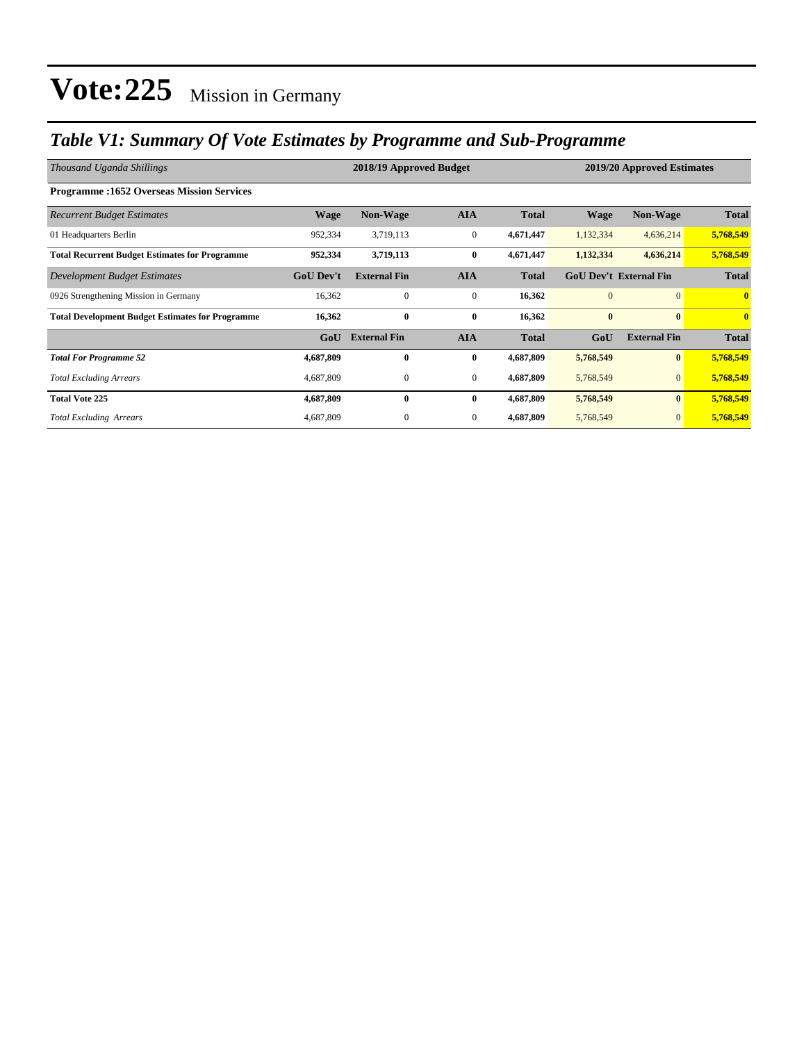### *Table V1: Summary Of Vote Estimates by Programme and Sub-Programme*

| Thousand Uganda Shillings                               |                  | 2018/19 Approved Budget |                  | 2019/20 Approved Estimates |                               |                     |                         |
|---------------------------------------------------------|------------------|-------------------------|------------------|----------------------------|-------------------------------|---------------------|-------------------------|
| <b>Programme:1652 Overseas Mission Services</b>         |                  |                         |                  |                            |                               |                     |                         |
| <b>Recurrent Budget Estimates</b>                       | <b>Wage</b>      | <b>Non-Wage</b>         | <b>AIA</b>       | <b>Total</b>               | <b>Wage</b>                   | <b>Non-Wage</b>     | <b>Total</b>            |
| 01 Headquarters Berlin                                  | 952,334          | 3,719,113               | $\boldsymbol{0}$ | 4,671,447                  | 1,132,334                     | 4,636,214           | 5,768,549               |
| <b>Total Recurrent Budget Estimates for Programme</b>   | 952,334          | 3,719,113               | $\bf{0}$         | 4,671,447                  | 1,132,334                     | 4,636,214           | 5,768,549               |
| Development Budget Estimates                            | <b>GoU</b> Dev't | <b>External Fin</b>     | <b>AIA</b>       | <b>Total</b>               | <b>GoU Dev't External Fin</b> |                     | <b>Total</b>            |
| 0926 Strengthening Mission in Germany                   | 16,362           | $\mathbf{0}$            | $\mathbf{0}$     | 16,362                     | $\overline{0}$                | $\overline{0}$      | $\mathbf{0}$            |
| <b>Total Development Budget Estimates for Programme</b> | 16,362           | $\bf{0}$                | $\bf{0}$         | 16,362                     | $\bf{0}$                      | $\bf{0}$            | $\overline{\mathbf{0}}$ |
|                                                         | GoU              | <b>External Fin</b>     | <b>AIA</b>       | <b>Total</b>               | GoU                           | <b>External Fin</b> | <b>Total</b>            |
| <b>Total For Programme 52</b>                           | 4,687,809        | $\bf{0}$                | $\bf{0}$         | 4,687,809                  | 5,768,549                     | $\bf{0}$            | 5,768,549               |
| <b>Total Excluding Arrears</b>                          | 4,687,809        | $\boldsymbol{0}$        | $\mathbf{0}$     | 4,687,809                  | 5,768,549                     | $\mathbf{0}$        | 5,768,549               |
| <b>Total Vote 225</b>                                   | 4,687,809        | $\bf{0}$                | $\bf{0}$         | 4,687,809                  | 5,768,549                     | $\bf{0}$            | 5,768,549               |
| <b>Total Excluding Arrears</b>                          | 4,687,809        | $\mathbf{0}$            | $\mathbf{0}$     | 4,687,809                  | 5,768,549                     | $\overline{0}$      | 5,768,549               |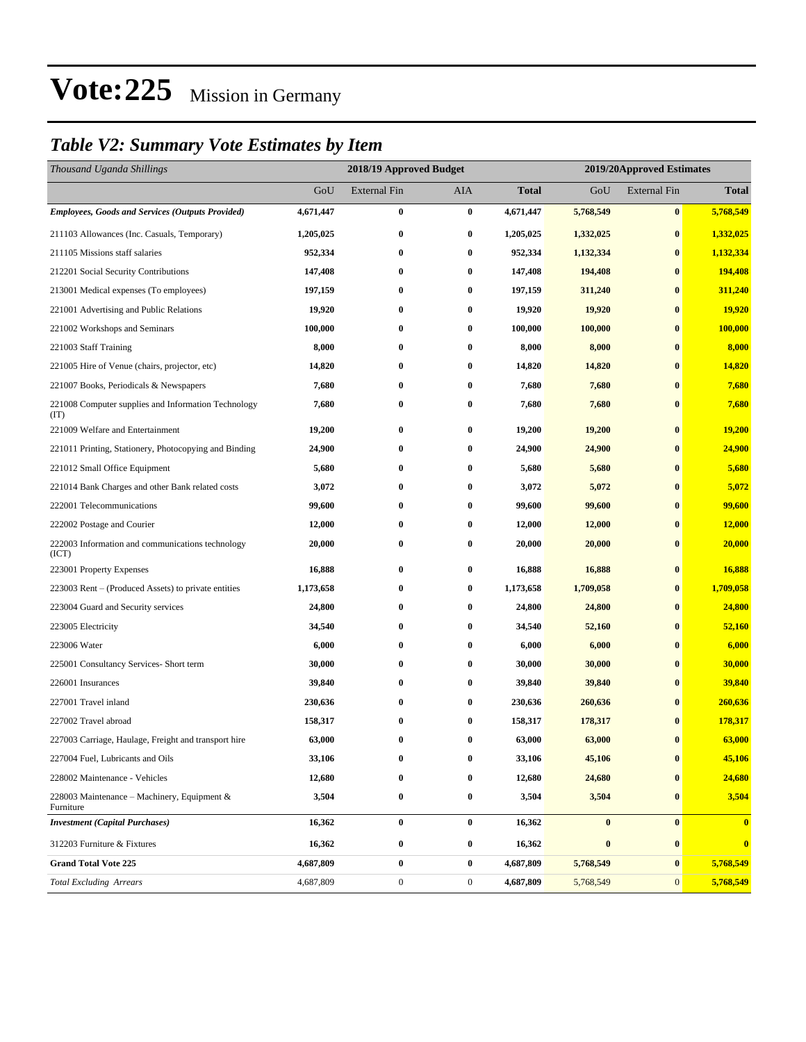### *Table V2: Summary Vote Estimates by Item*

| Thousand Uganda Shillings                                   | 2018/19 Approved Budget |                     |                  |           | 2019/20Approved Estimates |                     |              |  |
|-------------------------------------------------------------|-------------------------|---------------------|------------------|-----------|---------------------------|---------------------|--------------|--|
|                                                             | GoU                     | <b>External Fin</b> | AIA              | Total     | GoU                       | <b>External Fin</b> | <b>Total</b> |  |
| <b>Employees, Goods and Services (Outputs Provided)</b>     | 4,671,447               | $\bf{0}$            | $\bf{0}$         | 4,671,447 | 5,768,549                 | $\bf{0}$            | 5,768,549    |  |
| 211103 Allowances (Inc. Casuals, Temporary)                 | 1,205,025               | $\bf{0}$            | $\bf{0}$         | 1,205,025 | 1,332,025                 | $\bf{0}$            | 1,332,025    |  |
| 211105 Missions staff salaries                              | 952,334                 | $\bf{0}$            | $\bf{0}$         | 952,334   | 1,132,334                 | $\bf{0}$            | 1,132,334    |  |
| 212201 Social Security Contributions                        | 147,408                 | $\bf{0}$            | $\bf{0}$         | 147,408   | 194,408                   | $\bf{0}$            | 194,408      |  |
| 213001 Medical expenses (To employees)                      | 197,159                 | $\bf{0}$            | $\bf{0}$         | 197,159   | 311,240                   | $\bf{0}$            | 311,240      |  |
| 221001 Advertising and Public Relations                     | 19,920                  | $\bf{0}$            | $\bf{0}$         | 19,920    | 19,920                    | $\bf{0}$            | 19,920       |  |
| 221002 Workshops and Seminars                               | 100,000                 | $\bf{0}$            | $\bf{0}$         | 100,000   | 100,000                   | $\bf{0}$            | 100,000      |  |
| 221003 Staff Training                                       | 8,000                   | $\bf{0}$            | $\bf{0}$         | 8,000     | 8,000                     | $\bf{0}$            | 8,000        |  |
| 221005 Hire of Venue (chairs, projector, etc)               | 14,820                  | $\bf{0}$            | $\bf{0}$         | 14,820    | 14,820                    | $\bf{0}$            | 14,820       |  |
| 221007 Books, Periodicals & Newspapers                      | 7,680                   | $\bf{0}$            | $\bf{0}$         | 7,680     | 7,680                     | $\bf{0}$            | 7,680        |  |
| 221008 Computer supplies and Information Technology<br>(TT) | 7,680                   | $\bf{0}$            | $\bf{0}$         | 7,680     | 7,680                     | $\bf{0}$            | 7,680        |  |
| 221009 Welfare and Entertainment                            | 19,200                  | $\bf{0}$            | $\bf{0}$         | 19,200    | 19,200                    | $\bf{0}$            | 19,200       |  |
| 221011 Printing, Stationery, Photocopying and Binding       | 24,900                  | $\bf{0}$            | $\bf{0}$         | 24,900    | 24,900                    | $\bf{0}$            | 24,900       |  |
| 221012 Small Office Equipment                               | 5,680                   | $\bf{0}$            | $\bf{0}$         | 5,680     | 5,680                     | $\bf{0}$            | 5,680        |  |
| 221014 Bank Charges and other Bank related costs            | 3,072                   | $\bf{0}$            | $\bf{0}$         | 3,072     | 5,072                     | $\bf{0}$            | 5,072        |  |
| 222001 Telecommunications                                   | 99,600                  | $\bf{0}$            | $\bf{0}$         | 99,600    | 99,600                    | $\bf{0}$            | 99,600       |  |
| 222002 Postage and Courier                                  | 12,000                  | $\bf{0}$            | $\bf{0}$         | 12,000    | 12,000                    | $\bf{0}$            | 12,000       |  |
| 222003 Information and communications technology<br>(ICT)   | 20,000                  | $\bf{0}$            | $\bf{0}$         | 20,000    | 20,000                    | $\bf{0}$            | 20,000       |  |
| 223001 Property Expenses                                    | 16,888                  | $\bf{0}$            | $\bf{0}$         | 16,888    | 16,888                    | $\bf{0}$            | 16,888       |  |
| 223003 Rent – (Produced Assets) to private entities         | 1,173,658               | $\bf{0}$            | $\bf{0}$         | 1,173,658 | 1,709,058                 | $\bf{0}$            | 1,709,058    |  |
| 223004 Guard and Security services                          | 24,800                  | $\bf{0}$            | $\bf{0}$         | 24,800    | 24,800                    | $\bf{0}$            | 24,800       |  |
| 223005 Electricity                                          | 34,540                  | $\bf{0}$            | $\bf{0}$         | 34,540    | 52,160                    | $\bf{0}$            | 52,160       |  |
| 223006 Water                                                | 6,000                   | $\bf{0}$            | $\bf{0}$         | 6,000     | 6,000                     | $\bf{0}$            | 6,000        |  |
| 225001 Consultancy Services- Short term                     | 30,000                  | $\bf{0}$            | $\bf{0}$         | 30,000    | 30,000                    | $\bf{0}$            | 30,000       |  |
| 226001 Insurances                                           | 39,840                  | $\bf{0}$            | $\bf{0}$         | 39,840    | 39,840                    | $\bf{0}$            | 39,840       |  |
| 227001 Travel inland                                        | 230,636                 | $\bf{0}$            | $\bf{0}$         | 230,636   | 260,636                   | $\bf{0}$            | 260,636      |  |
| 227002 Travel abroad                                        | 158,317                 | $\bf{0}$            | $\bf{0}$         | 158,317   | 178,317                   | $\bf{0}$            | 178,317      |  |
| 227003 Carriage, Haulage, Freight and transport hire        | 63,000                  | $\bf{0}$            | $\bf{0}$         | 63,000    | 63,000                    | $\bf{0}$            | 63,000       |  |
| 227004 Fuel, Lubricants and Oils                            | 33,106                  | $\bf{0}$            | $\bf{0}$         | 33,106    | 45,106                    | $\bf{0}$            | 45,106       |  |
| 228002 Maintenance - Vehicles                               | 12,680                  | $\bf{0}$            | $\bf{0}$         | 12,680    | 24,680                    | $\bf{0}$            | 24,680       |  |
| 228003 Maintenance – Machinery, Equipment $\&$<br>Furniture | 3,504                   | $\boldsymbol{0}$    | $\bf{0}$         | 3,504     | 3,504                     | $\bf{0}$            | 3,504        |  |
| <b>Investment</b> (Capital Purchases)                       | 16,362                  | $\boldsymbol{0}$    | $\bf{0}$         | 16,362    | $\bf{0}$                  | $\bf{0}$            | $\bf{0}$     |  |
| 312203 Furniture & Fixtures                                 | 16,362                  | $\bf{0}$            | $\bf{0}$         | 16,362    | $\pmb{0}$                 | $\bf{0}$            | $\bf{0}$     |  |
| <b>Grand Total Vote 225</b>                                 | 4,687,809               | $\bf{0}$            | $\bf{0}$         | 4,687,809 | 5,768,549                 | $\bf{0}$            | 5,768,549    |  |
| <b>Total Excluding Arrears</b>                              | 4,687,809               | $\boldsymbol{0}$    | $\boldsymbol{0}$ | 4,687,809 | 5,768,549                 | $\mathbf{0}$        | 5,768,549    |  |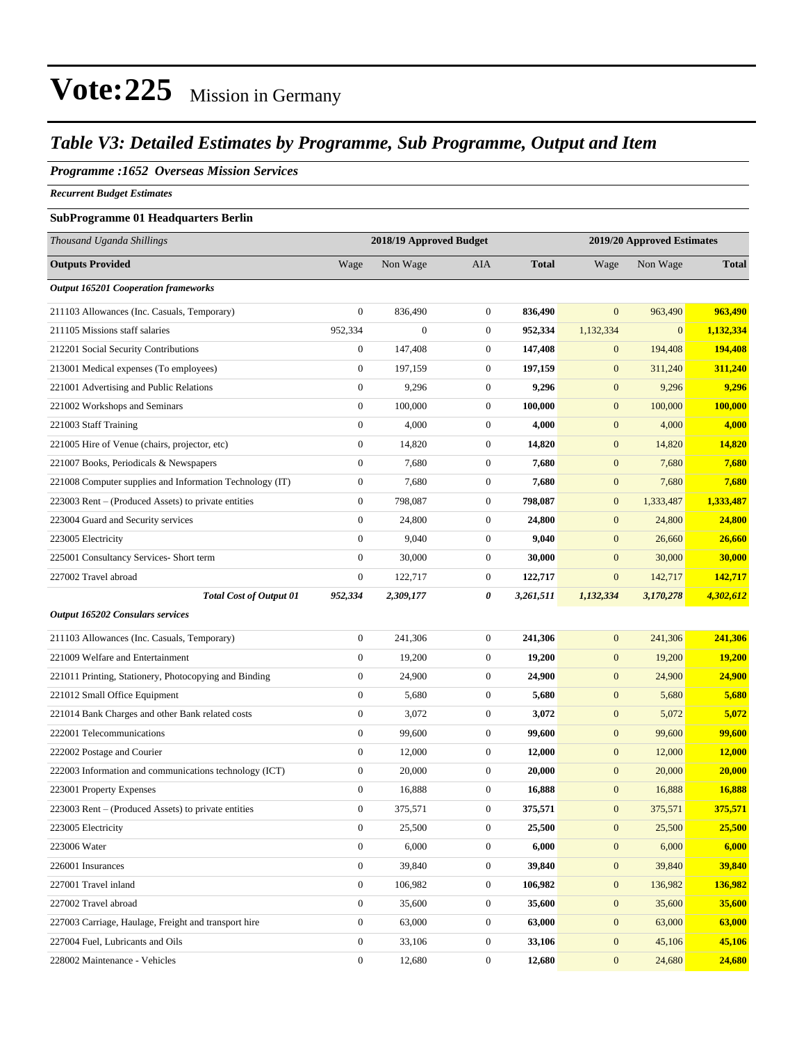#### *Table V3: Detailed Estimates by Programme, Sub Programme, Output and Item*

#### *Programme :1652 Overseas Mission Services*

*Recurrent Budget Estimates*

#### **SubProgramme 01 Headquarters Berlin**

| Thousand Uganda Shillings                                |                  | 2018/19 Approved Budget |                  | 2019/20 Approved Estimates |                  |              |               |
|----------------------------------------------------------|------------------|-------------------------|------------------|----------------------------|------------------|--------------|---------------|
| <b>Outputs Provided</b>                                  | Wage             | Non Wage                | AIA              | <b>Total</b>               | Wage             | Non Wage     | <b>Total</b>  |
| <b>Output 165201 Cooperation frameworks</b>              |                  |                         |                  |                            |                  |              |               |
| 211103 Allowances (Inc. Casuals, Temporary)              | $\boldsymbol{0}$ | 836,490                 | $\mathbf{0}$     | 836,490                    | $\mathbf{0}$     | 963,490      | 963,490       |
| 211105 Missions staff salaries                           | 952,334          | $\overline{0}$          | $\boldsymbol{0}$ | 952,334                    | 1,132,334        | $\mathbf{0}$ | 1,132,334     |
| 212201 Social Security Contributions                     | $\boldsymbol{0}$ | 147,408                 | $\mathbf{0}$     | 147,408                    | $\boldsymbol{0}$ | 194,408      | 194,408       |
| 213001 Medical expenses (To employees)                   | $\boldsymbol{0}$ | 197,159                 | $\boldsymbol{0}$ | 197,159                    | $\boldsymbol{0}$ | 311,240      | 311,240       |
| 221001 Advertising and Public Relations                  | $\boldsymbol{0}$ | 9,296                   | $\mathbf{0}$     | 9,296                      | $\boldsymbol{0}$ | 9,296        | 9,296         |
| 221002 Workshops and Seminars                            | $\boldsymbol{0}$ | 100,000                 | $\mathbf{0}$     | 100,000                    | $\boldsymbol{0}$ | 100,000      | 100,000       |
| 221003 Staff Training                                    | $\boldsymbol{0}$ | 4,000                   | $\boldsymbol{0}$ | 4,000                      | $\boldsymbol{0}$ | 4,000        | 4,000         |
| 221005 Hire of Venue (chairs, projector, etc)            | $\boldsymbol{0}$ | 14,820                  | $\boldsymbol{0}$ | 14,820                     | $\boldsymbol{0}$ | 14,820       | 14,820        |
| 221007 Books, Periodicals & Newspapers                   | $\boldsymbol{0}$ | 7,680                   | $\boldsymbol{0}$ | 7,680                      | $\mathbf{0}$     | 7,680        | 7,680         |
| 221008 Computer supplies and Information Technology (IT) | $\boldsymbol{0}$ | 7,680                   | $\boldsymbol{0}$ | 7,680                      | $\boldsymbol{0}$ | 7,680        | 7,680         |
| 223003 Rent - (Produced Assets) to private entities      | $\boldsymbol{0}$ | 798,087                 | $\boldsymbol{0}$ | 798,087                    | $\boldsymbol{0}$ | 1,333,487    | 1,333,487     |
| 223004 Guard and Security services                       | $\boldsymbol{0}$ | 24,800                  | $\boldsymbol{0}$ | 24,800                     | $\mathbf{0}$     | 24,800       | 24,800        |
| 223005 Electricity                                       | $\boldsymbol{0}$ | 9,040                   | $\mathbf{0}$     | 9,040                      | $\mathbf{0}$     | 26,660       | 26,660        |
| 225001 Consultancy Services- Short term                  | $\boldsymbol{0}$ | 30,000                  | $\boldsymbol{0}$ | 30,000                     | $\boldsymbol{0}$ | 30,000       | 30,000        |
| 227002 Travel abroad                                     | $\boldsymbol{0}$ | 122,717                 | $\mathbf{0}$     | 122,717                    | $\boldsymbol{0}$ | 142,717      | 142,717       |
| <b>Total Cost of Output 01</b>                           | 952,334          | 2,309,177               | 0                | 3,261,511                  | 1,132,334        | 3,170,278    | 4,302,612     |
| <b>Output 165202 Consulars services</b>                  |                  |                         |                  |                            |                  |              |               |
| 211103 Allowances (Inc. Casuals, Temporary)              | $\boldsymbol{0}$ | 241,306                 | $\boldsymbol{0}$ | 241,306                    | $\boldsymbol{0}$ | 241,306      | 241,306       |
| 221009 Welfare and Entertainment                         | $\boldsymbol{0}$ | 19,200                  | $\boldsymbol{0}$ | 19,200                     | $\boldsymbol{0}$ | 19,200       | 19,200        |
| 221011 Printing, Stationery, Photocopying and Binding    | $\boldsymbol{0}$ | 24,900                  | $\boldsymbol{0}$ | 24,900                     | $\mathbf{0}$     | 24,900       | <b>24,900</b> |
| 221012 Small Office Equipment                            | $\boldsymbol{0}$ | 5,680                   | $\mathbf{0}$     | 5,680                      | $\boldsymbol{0}$ | 5,680        | 5,680         |
| 221014 Bank Charges and other Bank related costs         | $\boldsymbol{0}$ | 3,072                   | $\mathbf{0}$     | 3,072                      | $\boldsymbol{0}$ | 5,072        | 5,072         |
| 222001 Telecommunications                                | $\boldsymbol{0}$ | 99,600                  | $\boldsymbol{0}$ | 99,600                     | $\boldsymbol{0}$ | 99,600       | 99,600        |
| 222002 Postage and Courier                               | $\boldsymbol{0}$ | 12,000                  | $\boldsymbol{0}$ | 12,000                     | $\boldsymbol{0}$ | 12,000       | 12,000        |
| 222003 Information and communications technology (ICT)   | $\boldsymbol{0}$ | 20,000                  | $\boldsymbol{0}$ | 20,000                     | $\mathbf{0}$     | 20,000       | <b>20,000</b> |
| 223001 Property Expenses                                 | $\boldsymbol{0}$ | 16,888                  | $\mathbf{0}$     | 16,888                     | $\boldsymbol{0}$ | 16,888       | 16,888        |
| 223003 Rent – (Produced Assets) to private entities      | $\boldsymbol{0}$ | 375,571                 | $\boldsymbol{0}$ | 375,571                    | $\mathbf{0}$     | 375,571      | 375,571       |
| 223005 Electricity                                       | $\boldsymbol{0}$ | 25,500                  | $\boldsymbol{0}$ | 25,500                     | $\mathbf{0}$     | 25,500       | 25,500        |
| 223006 Water                                             | $\boldsymbol{0}$ | 6,000                   | $\boldsymbol{0}$ | 6,000                      | $\mathbf{0}$     | 6,000        | 6,000         |
| 226001 Insurances                                        | $\overline{0}$   | 39,840                  | $\boldsymbol{0}$ | 39,840                     | $\boldsymbol{0}$ | 39,840       | 39,840        |
| 227001 Travel inland                                     | $\boldsymbol{0}$ | 106,982                 | $\boldsymbol{0}$ | 106,982                    | $\boldsymbol{0}$ | 136,982      | 136,982       |
| 227002 Travel abroad                                     | $\boldsymbol{0}$ | 35,600                  | $\boldsymbol{0}$ | 35,600                     | $\boldsymbol{0}$ | 35,600       | 35,600        |
| 227003 Carriage, Haulage, Freight and transport hire     | $\boldsymbol{0}$ | 63,000                  | $\boldsymbol{0}$ | 63,000                     | $\mathbf{0}$     | 63,000       | 63,000        |
| 227004 Fuel, Lubricants and Oils                         | $\boldsymbol{0}$ | 33,106                  | $\boldsymbol{0}$ | 33,106                     | $\mathbf{0}$     | 45,106       | 45,106        |
| 228002 Maintenance - Vehicles                            | $\boldsymbol{0}$ | 12,680                  | $\boldsymbol{0}$ | 12,680                     | $\boldsymbol{0}$ | 24,680       | 24,680        |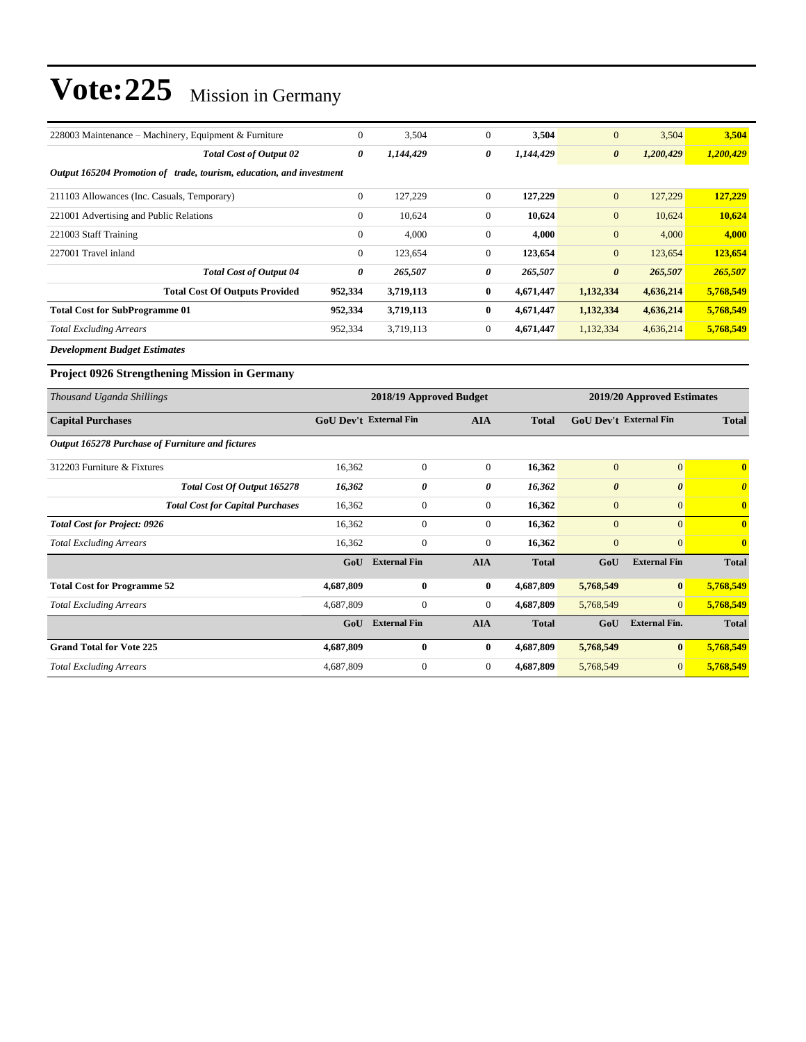| $\mathbf{0}$                                                         | 3,504               | $\boldsymbol{0}$                                                               | 3,504                      | $\overline{0}$                | 3,504                 | 3,504                   |
|----------------------------------------------------------------------|---------------------|--------------------------------------------------------------------------------|----------------------------|-------------------------------|-----------------------|-------------------------|
| 0                                                                    | 1,144,429           | $\boldsymbol{\theta}$                                                          | 1,144,429                  | $\boldsymbol{\theta}$         | 1,200,429             | 1,200,429               |
| Output 165204 Promotion of trade, tourism, education, and investment |                     |                                                                                |                            |                               |                       |                         |
| $\boldsymbol{0}$                                                     | 127,229             | $\boldsymbol{0}$                                                               | 127,229                    | $\overline{0}$                | 127,229               | 127,229                 |
| $\mathbf{0}$                                                         | 10,624              | $\mathbf{0}$                                                                   | 10,624                     | $\mathbf{0}$                  | 10,624                | 10,624                  |
| $\mathbf{0}$                                                         | 4,000               | $\mathbf{0}$                                                                   | 4,000                      | $\mathbf{0}$                  | 4,000                 | 4,000                   |
| $\mathbf{0}$                                                         | 123,654             | $\boldsymbol{0}$                                                               | 123,654                    | $\mathbf{0}$                  | 123,654               | 123,654                 |
| 0                                                                    | 265,507             | $\boldsymbol{\theta}$                                                          | 265,507                    | $\boldsymbol{\theta}$         | 265,507               | 265,507                 |
| 952,334                                                              | 3,719,113           | $\bf{0}$                                                                       | 4,671,447                  | 1,132,334                     | 4,636,214             | 5,768,549               |
| 952,334                                                              | 3,719,113           | $\bf{0}$                                                                       | 4,671,447                  | 1,132,334                     | 4,636,214             | 5,768,549               |
| 952,334                                                              | 3,719,113           | $\mathbf{0}$                                                                   | 4,671,447                  | 1,132,334                     | 4,636,214             | 5,768,549               |
|                                                                      |                     |                                                                                |                            |                               |                       |                         |
|                                                                      |                     |                                                                                |                            |                               |                       |                         |
|                                                                      |                     |                                                                                | 2019/20 Approved Estimates |                               |                       |                         |
|                                                                      |                     | <b>AIA</b>                                                                     | <b>Total</b>               | <b>GoU Dev't External Fin</b> |                       | <b>Total</b>            |
|                                                                      |                     |                                                                                |                            |                               |                       |                         |
| 16,362                                                               | $\Omega$            | $\overline{0}$                                                                 | 16,362                     | $\overline{0}$                | $\overline{0}$        | $\mathbf{0}$            |
| 16,362                                                               | 0                   | $\boldsymbol{\theta}$                                                          | 16,362                     | $\boldsymbol{\theta}$         | $\boldsymbol{\theta}$ | $\boldsymbol{\theta}$   |
| 16,362                                                               | $\mathbf{0}$        | $\theta$                                                                       | 16,362                     | $\overline{0}$                | $\mathbf{0}$          | $\overline{\mathbf{0}}$ |
| 16,362                                                               | $\mathbf{0}$        | $\mathbf{0}$                                                                   | 16,362                     | $\overline{0}$                | $\Omega$              | $\mathbf{0}$            |
| 16,362                                                               | $\Omega$            | $\overline{0}$                                                                 | 16,362                     | $\overline{0}$                | $\Omega$              | $\mathbf{0}$            |
|                                                                      |                     | <b>AIA</b>                                                                     | <b>Total</b>               | GoU                           | <b>External Fin</b>   | <b>Total</b>            |
| 4,687,809                                                            | $\bf{0}$            | $\bf{0}$                                                                       | 4,687,809                  | 5,768,549                     | $\vert 0 \vert$       | 5,768,549               |
|                                                                      |                     | $\theta$                                                                       | 4,687,809                  | 5,768,549                     | $\overline{0}$        | 5,768,549               |
|                                                                      |                     |                                                                                |                            |                               |                       |                         |
| GoU                                                                  | <b>External Fin</b> | <b>AIA</b>                                                                     | <b>Total</b>               | GoU                           | <b>External Fin.</b>  | <b>Total</b>            |
| 4,687,809                                                            | $\mathbf{0}$        | $\bf{0}$                                                                       | 4,687,809                  | 5,768,549                     | $\bf{0}$              | 5,768,549               |
|                                                                      |                     | <b>GoU Dev't External Fin</b><br>GoU External Fin<br>4,687,809<br>$\mathbf{0}$ | 2018/19 Approved Budget    |                               |                       |                         |